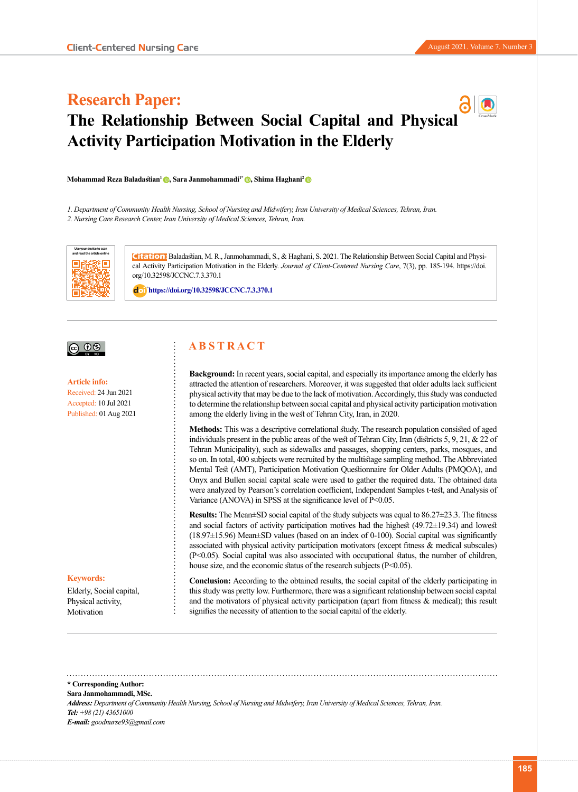# **Research Paper: The Relationship Between Social Capital and Physica[l](http://jccnc.iums.ac.ir/page/119/Open-Access-Policy)  Activity Participation Motivation in the Elderly**

**[Mohammad Reza Baladastian](http://jccnc.iums.ac.ir/search.php?slc_lang=en&sid=1&auth=Baladastian)<sup>1</sup>[,](https://orcid.org/0000-0003-4822-6941) [Sara Janmohammadi](http://jccnc.iums.ac.ir/search.php?slc_lang=en&sid=1&auth=Janmohammadi)1\* [,](https://orcid.org/0000-0002-6386-3474) [Shima Haghani](http://jccnc.iums.ac.ir/search.php?slc_lang=en&sid=1&auth=Haghani)[2](https://orcid.org/0000-0002-1334-975X)** 

*1. Department of Community Health Nursing, School of Nursing and Midwifery, Iran University of Medical Sciences, Tehran, Iran.*

*2. Nursing Care Research Center, Iran University of Medical Sciences, Tehran, Iran.*



**Citation:** Baladastian, M. R., [Janmohammadi,](http://jccnc.iums.ac.ir/search.php?slc_lang=en&sid=1&auth=Janmohammadi) S.[, & Haghani](http://jccnc.iums.ac.ir/search.php?slc_lang=en&sid=1&auth=Haghani), S. 2021. The Relationship Between Social Capital and Physical Activity Participation Motivation in the Elderly. *Journal of Client-Centered Nursing Care*, 7(3), pp. 185-194. https://doi. org/10.32598/JCCNC.7.3.370.1

: **<https://doi.org/10.32598/JCCNC.7.3.370.1>**

## $\circledcirc$   $\circledcirc$

**Article info:** Received: 24 Jun 2021 Accepted: 10 Jul 2021 Published: 01 Aug 2021

#### **Keywords:**

Elderly, Social capital, Physical activity, Motivation

## **A B S T R A C T**

**Background:** In recent years, social capital, and especially its importance among the elderly has attracted the attention of researchers. Moreover, it was suggested that older adults lack sufficient physical activity that may be due to the lack of motivation. Accordingly, this study was conducted to determine the relationship between social capital and physical activity participation motivation among the elderly living in the west of Tehran City, Iran, in 2020.

**Methods:** This was a descriptive correlational study. The research population consisted of aged individuals present in the public areas of the west of Tehran City, Iran (districts 5, 9, 21, & 22 of Tehran Municipality), such as sidewalks and passages, shopping centers, parks, mosques, and so on. In total, 400 subjects were recruited by the multistage sampling method. The Abbreviated Mental Test (AMT), Participation Motivation Questionnaire for Older Adults (PMQOA), and Onyx and Bullen social capital scale were used to gather the required data. The obtained data were analyzed by Pearson's correlation coefficient, Independent Samples t-test, and Analysis of Variance (ANOVA) in SPSS at the significance level of P<0.05.

**Results:** The Mean±SD social capital of the study subjects was equal to 86.27±23.3. The fitness and social factors of activity participation motives had the highest (49.72±19.34) and lowest (18.97±15.96) Mean±SD values (based on an index of 0-100). Social capital was significantly associated with physical activity participation motivators (except fitness & medical subscales) (P<0.05). Social capital was also associated with occupational status, the number of children, house size, and the economic status of the research subjects ( $P \le 0.05$ ).

**Conclusion:** According to the obtained results, the social capital of the elderly participating in this study was pretty low. Furthermore, there was a significant relationship between social capital and the motivators of physical activity participation (apart from fitness & medical); this result signifies the necessity of attention to the social capital of the elderly.

**\* Corresponding Author: [Sara Janmohammadi](http://jccnc.iums.ac.ir/search.php?slc_lang=en&sid=1&auth=Janmohammadi), MSc.** *Address: Department of Community Health Nursing, School of Nursing and Midwifery, Iran University of Medical Sciences, Tehran, Iran. Tel: +98 (21) 43651000 E-mail: goodnurse93@gmail.com*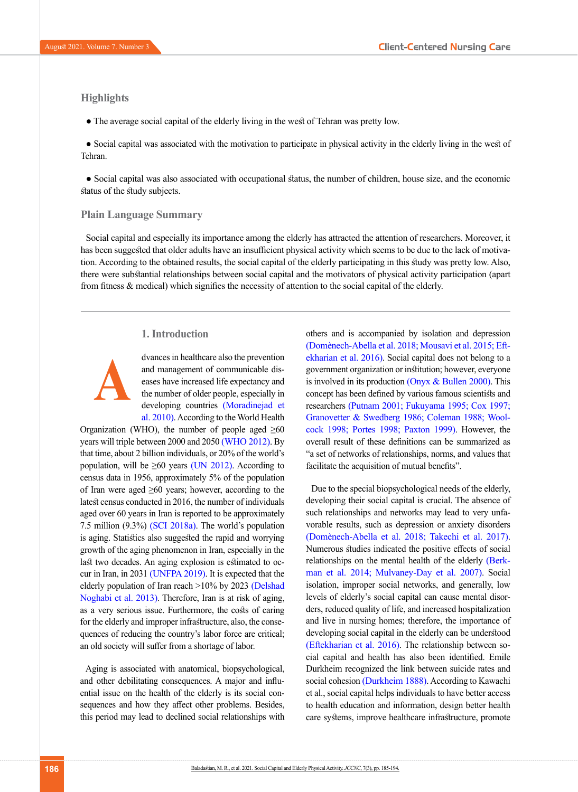## **Highlights**

● The average social capital of the elderly living in the west of Tehran was pretty low.

● Social capital was associated with the motivation to participate in physical activity in the elderly living in the west of Tehran.

● Social capital was also associated with occupational status, the number of children, house size, and the economic status of the study subjects.

## **Plain Language Summary**

Social capital and especially its importance among the elderly has attracted the attention of researchers. Moreover, it has been suggested that older adults have an insufficient physical activity which seems to be due to the lack of motivation. According to the obtained results, the social capital of the elderly participating in this study was pretty low. Also, there were substantial relationships between social capital and the motivators of physical activity participation (apart from fitness & medical) which signifies the necessity of attention to the social capital of the elderly.

## **1. Introduction**



dvances in healthcare also the prevention and management of communicable diseases have increased life expectancy and the number of older people, especially in developing countries [\(Moradinejad et](#page-8-0) [al. 2010\)](#page-8-0). According to the World Health

Organization (WHO), the number of people aged  $\geq 60$ years will triple between 2000 and 2050 (WHO 2012). By that time, about 2 billion individuals, or 20% of the world's population, will be  $\geq 60$  years (UN 2012). According to census data in 1956, approximately 5% of the population of Iran were aged  $\geq 60$  years; however, according to the latest census conducted in 2016, the number of individuals aged over 60 years in Iran is reported to be approximately 7.5 million (9.3%) [\(SCI 2018a\).](#page-9-0) The world's population is aging. Statistics also suggested the rapid and worrying growth of the aging phenomenon in Iran, especially in the last two decades. An aging explosion is estimated to occur in Iran, in 2031 (UNFPA 2019). It is expected that the elderly population of Iran reach >10% by 202[3 \(Delshad](#page-7-0) [Noghabi et al. 2013\)](#page-7-0). Therefore, Iran is at risk of aging, as a very serious issue. Furthermore, the costs of caring for the elderly and improper infrastructure, also, the consequences of reducing the country's labor force are critical; an old society will suffer from a shortage of labor.

Aging is associated with anatomical, biopsychological, and other debilitating consequences. A major and influential issue on the health of the elderly is its social consequences and how they affect other problems. Besides, this period may lead to declined social relationships with others and is accompanied by isolation and depression [\(Domènech-Abella et al. 2018;](#page-7-1) Mousavi et al. 2015; [Eft](#page-7-2)[ekharian et al. 2016\).](#page-7-2) Social capital does not belong to a government organization or institution; however, everyone is involved in its production [\(Onyx & Bullen 2000\)](#page-8-1). This concept has been defined by various famous scientists and researchers [\(Putnam 2001;](#page-9-1) [Fukuyama 1995;](#page-7-3) Cox 1997; Granovetter & Swedber[g 1986;](#page-7-4) [Coleman 1988;](#page-7-5) Woolcock 1998; [Portes 1998;](#page-9-2) [Paxton 1999\)](#page-9-3). However, the overall result of these definitions can be summarized as "a set of networks of relationships, norms, and values that facilitate the acquisition of mutual benefits".

Due to the special biopsychological needs of the elderly, developing their social capital is crucial. The absence of such relationships and networks may lead to very unfavorable results, such as depression or anxiety disorders [\(Domènech-Abella et al. 2018;](#page-7-1) Takechi et al. 2017). Numerous studies indicated the positive effects of social relationships on the mental health of the elderl[y \(Berk](#page-7-6)[man et al. 2014](#page-7-6); [Mulvaney-Day et al. 2007\)](#page-8-2). Social isolation, improper social networks, and generally, low levels of elderly's social capital can cause mental disorders, reduced quality of life, and increased hospitalization and live in nursing homes; therefore, the importance of developing social capital in the elderly can be understood [\(Eftekharian et al. 2016\)](#page-7-2). The relationship between social capital and health has also been identified. Emile Durkheim recognized the link between suicide rates and social cohesion (Durkheim 1888). According to Kawachi et al., social capital helps individuals to have better access to health education and information, design better health care systems, improve healthcare infrastructure, promote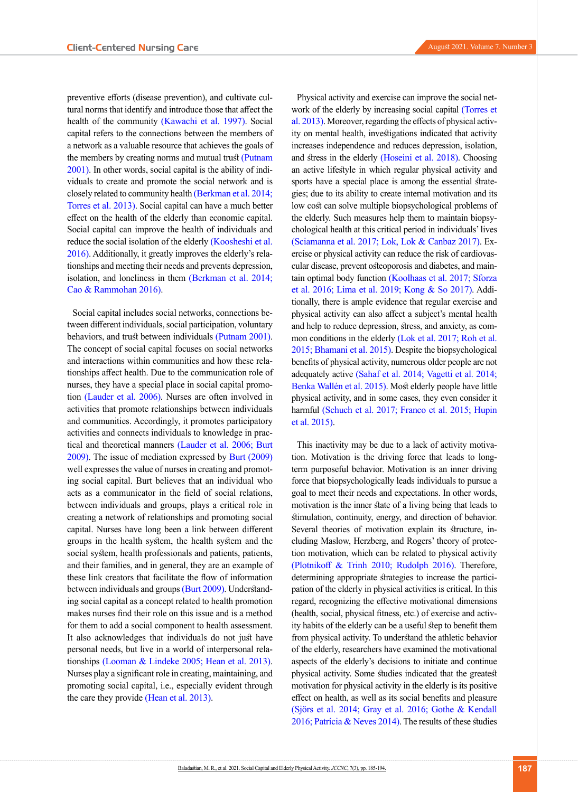preventive efforts (disease prevention), and cultivate cultural norms that identify and introduce those that affect the health of the community [\(Kawachi et al. 1997\)](#page-8-3). Social capital refers to the connections between the members of a network as a valuable resource that achieves the goals of the members by creating norms and mutual trust (Putnam [2001\).](#page-9-1) In other words, social capital is the ability of individuals to create and promote the social network and is closely related to community health [\(Berkman et al. 2014](#page-7-6); Torres et al. 2013). Social capital can have a much better effect on the health of the elderly than economic capital. Social capital can improve the health of individuals and reduce the social isolation of the elderly (Koosheshi et al. [2016\).](#page-8-4) Additionally, it greatly improves the elderly's relationships and meeting their needs and prevents depression, isolation, and loneliness in them [\(Berkman et al. 2014](#page-7-6); [Cao & Rammohan 2016\).](#page-7-7)

Social capital includes social networks, connections between different individuals, social participation, voluntary behaviors, and trust between individuals [\(Putnam 2001\)](#page-9-1). The concept of social capital focuses on social networks and interactions within communities and how these relationships affect health. Due to the communication role of nurses, they have a special place in social capital promotion [\(Lauder et al. 2006\)](#page-8-5). Nurses are often involved in activities that promote relationships between individuals and communities. Accordingly, it promotes participatory activities and connects individuals to knowledge in practical and theoretical manners [\(Lauder et al. 2006](#page-8-5); Burt 2009). The issue of mediation expressed by Burt (2009) well expresses the value of nurses in creating and promoting social capital. Burt believes that an individual who acts as a communicator in the field of social relations, between individuals and groups, plays a critical role in creating a network of relationships and promoting social capital. Nurses have long been a link between different groups in the health system, the health system and the social system, health professionals and patients, patients, and their families, and in general, they are an example of these link creators that facilitate the flow of information between individuals and groups (Burt 2009). Understanding social capital as a concept related to health promotion makes nurses find their role on this issue and is a method for them to add a social component to health assessment. It also acknowledges that individuals do not just have personal needs, but live in a world of interpersonal relationships (Looman & Lindeke 2005; Hean et al. 2013). Nurses play a significant role in creating, maintaining, and promoting social capital, i.e., especially evident through the care they provide (Hean et al. 2013).

Physical activity and exercise can improve the social network of the elderly by increasing social capital (Torres et al. 2013). Moreover, regarding the effects of physical activity on mental health, investigations indicated that activity increases independence and reduces depression, isolation, and stress in the elderly [\(Hoseini et al. 2018\)](#page-8-6). Choosing an active lifestyle in which regular physical activity and sports have a special place is among the essential strategies; due to its ability to create internal motivation and its low cost can solve multiple biopsychological problems of the elderly. Such measures help them to maintain biopsychological health at this critical period in individuals' lives [\(Sciamanna et al. 2017](#page-9-4); [Lok, Lok & Canbaz 2017\)](#page-8-7). Exercise or physical activity can reduce the risk of cardiovascular disease, prevent osteoporosis and diabetes, and maintain optimal body function [\(Koolhaas et al. 2017;](#page-8-8) [Sforza](#page-9-5)  [et al. 2016;](#page-9-5) [Lima et al. 2019;](#page-8-9) [Kong & So 2017\).](#page-8-10) Additionally, there is ample evidence that regular exercise and physical activity can also affect a subject's mental health and help to reduce depression, stress, and anxiety, as common conditions in the elderly [\(Lok et al. 2017;](#page-8-7) [Roh et al.](#page-9-6)  [2015](#page-9-6); [Bhamani et al. 2015\).](#page-7-8) Despite the biopsychological benefits of physical activity, numerous older people are not adequately active [\(Sahaf et al. 2014;](#page-9-7) Vagetti et al. 2014; [Benka Wallén et al. 2015\)](#page-7-9). Most elderly people have little physical activity, and in some cases, they even consider it harmful [\(Schuch et al. 2017;](#page-9-8) Franco et al. 2015; [Hupin](#page-8-11)  [et al. 2015\)](#page-8-11).

This inactivity may be due to a lack of activity motivation. Motivation is the driving force that leads to longterm purposeful behavior. Motivation is an inner driving force that biopsychologically leads individuals to pursue a goal to meet their needs and expectations. In other words, motivation is the inner state of a living being that leads to stimulation, continuity, energy, and direction of behavior. Several theories of motivation explain its structure, including Maslow, Herzberg, and Rogers' theory of protection motivation, which can be related to physical activity [\(Plotnikoff & Trinh 2010;](#page-9-9) [Rudolph 2016\)](#page-9-10). Therefore, determining appropriate strategies to increase the participation of the elderly in physical activities is critical. In this regard, recognizing the effective motivational dimensions (health, social, physical fitness, etc.) of exercise and activity habits of the elderly can be a useful step to benefit them from physical activity. To understand the athletic behavior of the elderly, researchers have examined the motivational aspects of the elderly's decisions to initiate and continue physical activity. Some studies indicated that the greatest motivation for physical activity in the elderly is its positive effect on health, as well as its social benefits and pleasure (Sjörs et al. 2014; [Gray et al. 2016](#page-8-12); [Gothe & Kendall](#page-8-12)  [2016](#page-8-12); Patrícia & Neves 2014). The results of these studies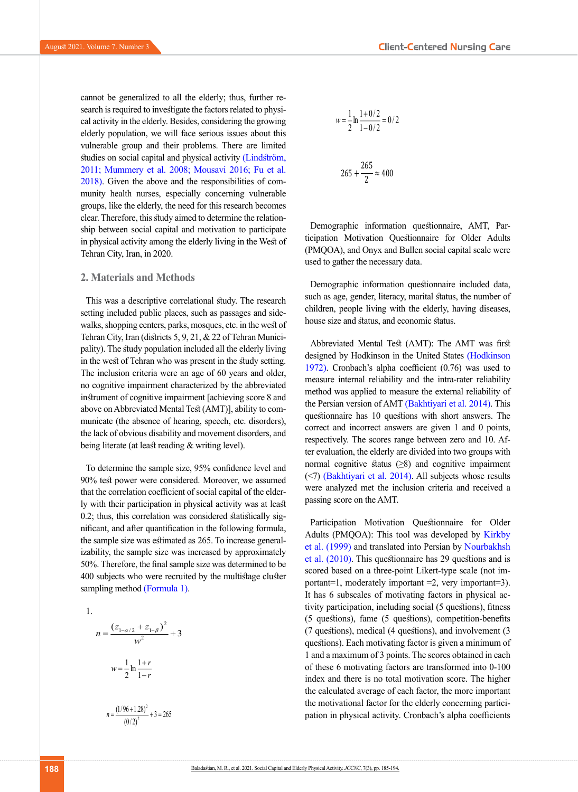cannot be generalized to all the elderly; thus, further research is required to investigate the factors related to physical activity in the elderly. Besides, considering the growing elderly population, we will face serious issues about this vulnerable group and their problems. There are limited studies on social capital and physical activity (Lindström, 2011; [Mummery et al. 2008](#page-8-13); [Mousavi 2016;](#page-8-14) [Fu et al.](#page-7-10)  [2018\).](#page-7-10) Given the above and the responsibilities of community health nurses, especially concerning vulnerable groups, like the elderly, the need for this research becomes clear. Therefore, this study aimed to determine the relationship between social capital and motivation to participate in physical activity among the elderly living in the West of Tehran City, Iran, in 2020.

## **2. Materials and Methods**

This was a descriptive correlational study. The research setting included public places, such as passages and sidewalks, shopping centers, parks, mosques, etc. in the west of Tehran City, Iran (districts 5, 9, 21, & 22 of Tehran Municipality). The study population included all the elderly living in the west of Tehran who was present in the study setting. The inclusion criteria were an age of 60 years and older, no cognitive impairment characterized by the abbreviated instrument of cognitive impairment [achieving score 8 and above on Abbreviated Mental Test (AMT)], ability to communicate (the absence of hearing, speech, etc. disorders), the lack of obvious disability and movement disorders, and being literate (at least reading & writing level).

To determine the sample size, 95% confidence level and 90% test power were considered. Moreover, we assumed that the correlation coefficient of social capital of the elderly with their participation in physical activity was at least 0.2; thus, this correlation was considered statistically significant, and after quantification in the following formula, the sample size was estimated as 265. To increase generalizability, the sample size was increased by approximately 50%. Therefore, the final sample size was determined to be 400 subjects who were recruited by the multistage cluster بسمه تعالی sampling method [\(Formula 1\).](#page-3-0)

<span id="page-3-0"></span>1.

$$
n = \frac{(z_{1-\alpha/2} + z_{1-\beta})^2}{w^2} + 3
$$

$$
w = \frac{1}{2} \ln \frac{1+r}{1-r}
$$

$$
n = \frac{(1/96 + 1.28)^2}{(0/2)^2} + 3 = 265
$$

<sup>1</sup> 0/ <sup>2</sup> ln <sup>1</sup> <sup>=</sup>  $\cdot$ 

$$
w = \frac{1}{2} \ln \frac{1 + 0/2}{1 - 0/2} = 0/2
$$

$$
265 + \frac{265}{2} \approx 400
$$

Demographic information questionnaire, AMT, Participation Motivation Questionnaire for Older Adults (PMQOA), and Onyx and Bullen social capital scale were used to gather the necessary data.

Demographic information questionnaire included data, such as age, gender, literacy, marital status, the number of children, people living with the elderly, having diseases, house size and status, and economic status.

Abbreviated Mental Test (AMT): The AMT was first designed by Hodkinson in the United States [\(Hodkinson](#page-8-15)  [1972\)](#page-8-15). Cronbach's alpha coefficient (0.76) was used to measure internal reliability and the intra-rater reliability method was applied to measure the external reliability of the Persian version of AMT [\(Bakhtiyari et al. 2014\)](#page-7-11). This questionnaire has 10 questions with short answers. The correct and incorrect answers are given 1 and 0 points, respectively. The scores range between zero and 10. After evaluation, the elderly are divided into two groups with normal cognitive status  $(\geq 8)$  and cognitive impairment (<7) [\(Bakhtiyari et al. 2014\)](#page-7-11). All subjects whose results were analyzed met the inclusion criteria and received a passing score on the AMT.

Participation Motivation Questionnaire for Older Adults (PMQOA): This tool was developed by [Kirkby](#page-8-16)  [et al. \(1999\)](#page-8-16) and translated into Persian by [Nourbakhsh](#page-8-17)  [et al. \(2010\).](#page-8-17) This questionnaire has 29 questions and is scored based on a three-point Likert-type scale (not important=1, moderately important =2, very important=3). It has 6 subscales of motivating factors in physical activity participation, including social (5 questions), fitness (5 questions), fame (5 questions), competition-benefits (7 questions), medical (4 questions), and involvement (3 questions). Each motivating factor is given a minimum of 1 and a maximum of 3 points. The scores obtained in each of these 6 motivating factors are transformed into 0-100 index and there is no total motivation score. The higher the calculated average of each factor, the more important the motivational factor for the elderly concerning participation in physical activity. Cronbach's alpha coefficients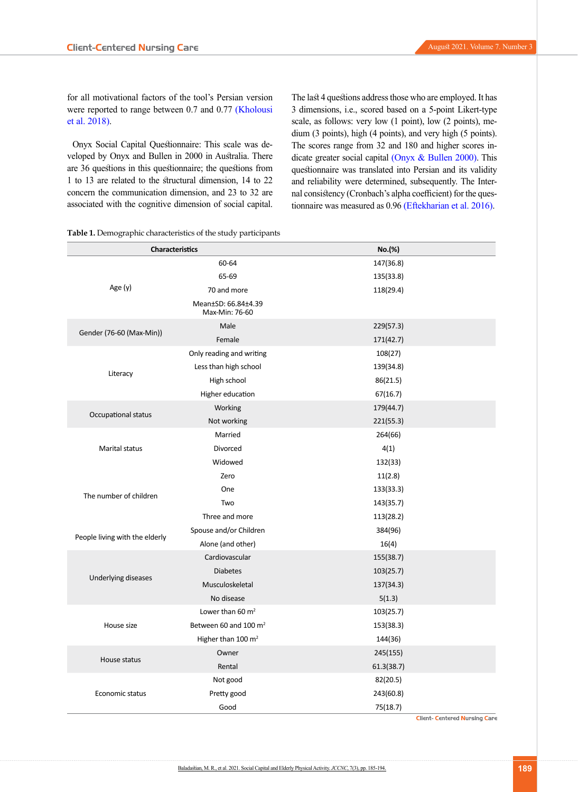for all motivational factors of the tool's Persian version were reported to range between 0.7 and 0.77 [\(Kholousi](#page-8-18)  [et al. 2018\).](#page-8-18)

Onyx Social Capital Questionnaire: This scale was developed by Onyx and Bullen in 2000 in Australia. There are 36 questions in this questionnaire; the questions from 1 to 13 are related to the structural dimension, 14 to 22 concern the communication dimension, and 23 to 32 are associated with the cognitive dimension of social capital. The last 4 questions address those who are employed. It has 3 dimensions, i.e., scored based on a 5-point Likert-type scale, as follows: very low (1 point), low (2 points), medium (3 points), high (4 points), and very high (5 points). The scores range from 32 and 180 and higher scores indicate greater social capital [\(Onyx & Bullen 2000\).](#page-8-1) This questionnaire was translated into Persian and its validity and reliability were determined, subsequently. The Internal consistency (Cronbach's alpha coefficient) for the questionnaire was measured as 0.96 [\(Eftekharian et al. 2016\).](#page-7-2)

|  |  |  |  | <b>Table 1.</b> Demographic characteristics of the study participants |  |  |  |  |
|--|--|--|--|-----------------------------------------------------------------------|--|--|--|--|
|--|--|--|--|-----------------------------------------------------------------------|--|--|--|--|

| <b>Characteristics</b>         |                                       | No.(%)     |
|--------------------------------|---------------------------------------|------------|
|                                | 60-64                                 | 147(36.8)  |
|                                | 65-69                                 | 135(33.8)  |
| Age (y)                        | 70 and more                           | 118(29.4)  |
|                                | Mean±SD: 66.84±4.39<br>Max-Min: 76-60 |            |
| Gender (76-60 (Max-Min))       | Male                                  | 229(57.3)  |
|                                | Female                                | 171(42.7)  |
|                                | Only reading and writing              | 108(27)    |
|                                | Less than high school                 | 139(34.8)  |
| Literacy                       | High school                           | 86(21.5)   |
|                                | Higher education                      | 67(16.7)   |
|                                | Working                               | 179(44.7)  |
| Occupational status            | Not working                           | 221(55.3)  |
|                                | Married                               | 264(66)    |
| <b>Marital status</b>          | Divorced                              | 4(1)       |
|                                | Widowed                               | 132(33)    |
|                                | Zero                                  | 11(2.8)    |
|                                | One                                   | 133(33.3)  |
| The number of children         | Two                                   | 143(35.7)  |
|                                | Three and more                        | 113(28.2)  |
|                                | Spouse and/or Children                | 384(96)    |
| People living with the elderly | Alone (and other)                     | 16(4)      |
|                                | Cardiovascular                        | 155(38.7)  |
|                                | <b>Diabetes</b>                       | 103(25.7)  |
| Underlying diseases            | Musculoskeletal                       | 137(34.3)  |
|                                | No disease                            | 5(1.3)     |
|                                | Lower than 60 $m2$                    | 103(25.7)  |
| House size                     | Between 60 and 100 m <sup>2</sup>     | 153(38.3)  |
|                                | Higher than 100 $m2$                  | 144(36)    |
|                                | Owner                                 | 245(155)   |
| House status                   | Rental                                | 61.3(38.7) |
|                                | Not good                              | 82(20.5)   |
| Economic status                | Pretty good                           | 243(60.8)  |
|                                | Good                                  | 75(18.7)   |

**Client- Centered Nursing Care**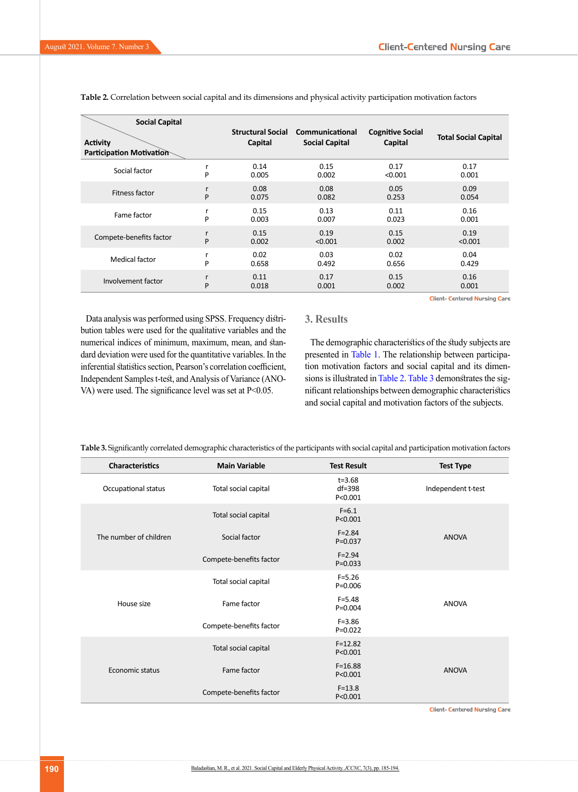| <b>Social Capital</b><br><b>Activity</b><br>Participation Motivation |   | <b>Structural Social</b><br>Capital | Communicational<br><b>Social Capital</b> | <b>Cognitive Social</b><br>Capital | <b>Total Social Capital</b>          |
|----------------------------------------------------------------------|---|-------------------------------------|------------------------------------------|------------------------------------|--------------------------------------|
| Social factor                                                        | r | 0.14                                | 0.15                                     | 0.17                               | 0.17                                 |
|                                                                      | P | 0.005                               | 0.002                                    | < 0.001                            | 0.001                                |
| Fitness factor                                                       | r | 0.08                                | 0.08                                     | 0.05                               | 0.09                                 |
|                                                                      | P | 0.075                               | 0.082                                    | 0.253                              | 0.054                                |
| Fame factor                                                          | r | 0.15                                | 0.13                                     | 0.11                               | 0.16                                 |
|                                                                      | P | 0.003                               | 0.007                                    | 0.023                              | 0.001                                |
| Compete-benefits factor                                              | r | 0.15                                | 0.19                                     | 0.15                               | 0.19                                 |
|                                                                      | P | 0.002                               | < 0.001                                  | 0.002                              | < 0.001                              |
| Medical factor                                                       | r | 0.02                                | 0.03                                     | 0.02                               | 0.04                                 |
|                                                                      | P | 0.658                               | 0.492                                    | 0.656                              | 0.429                                |
| Involvement factor                                                   | r | 0.11                                | 0.17                                     | 0.15                               | 0.16                                 |
|                                                                      | P | 0.018                               | 0.001                                    | 0.002                              | 0.001                                |
|                                                                      |   |                                     |                                          |                                    | <b>Client- Centered Nursing Care</b> |

**Table 2.** Correlation between social capital and its dimensions and physical activity participation motivation factors

Data analysis was performed using SPSS. Frequency distribution tables were used for the qualitative variables and the numerical indices of minimum, maximum, mean, and standard deviation were used for the quantitative variables. In the inferential statistics section, Pearson's correlation coefficient, Independent Samples t-test, and Analysis of Variance (ANO-VA) were used. The significance level was set at P<0.05.

## **3. Results**

The demographic characteristics of the study subjects are presented in Table 1. The relationship between participation motivation factors and social capital and its dimensions is illustrated in Table 2. Table 3 demonstrates the significant relationships between demographic characteristics and social capital and motivation factors of the subjects.

**Table 3.** Significantly correlated demographic characteristics of the participants with social capital and participation motivation factors

| <b>Characteristics</b> | <b>Main Variable</b>    | <b>Test Result</b>                    | <b>Test Type</b>   |
|------------------------|-------------------------|---------------------------------------|--------------------|
| Occupational status    | Total social capital    | $t = 3.68$<br>$df = 398$<br>P < 0.001 | Independent t-test |
|                        | Total social capital    | $F = 6.1$<br>P < 0.001                |                    |
| The number of children | Social factor           | $F = 2.84$<br>$P = 0.037$             | <b>ANOVA</b>       |
|                        | Compete-benefits factor | $F = 2.94$<br>$P = 0.033$             |                    |
|                        | Total social capital    | $F = 5.26$<br>$P = 0.006$             |                    |
| House size             | Fame factor             | $F = 5.48$<br>$P = 0.004$             | <b>ANOVA</b>       |
|                        | Compete-benefits factor | $F = 3.86$<br>$P = 0.022$             |                    |
|                        | Total social capital    | $F = 12.82$<br>P<0.001                |                    |
| Economic status        | Fame factor             | $F = 16.88$<br>P<0.001                | <b>ANOVA</b>       |
|                        | Compete-benefits factor | $F = 13.8$<br>P<0.001                 |                    |

**Client- Centered Nursing Care**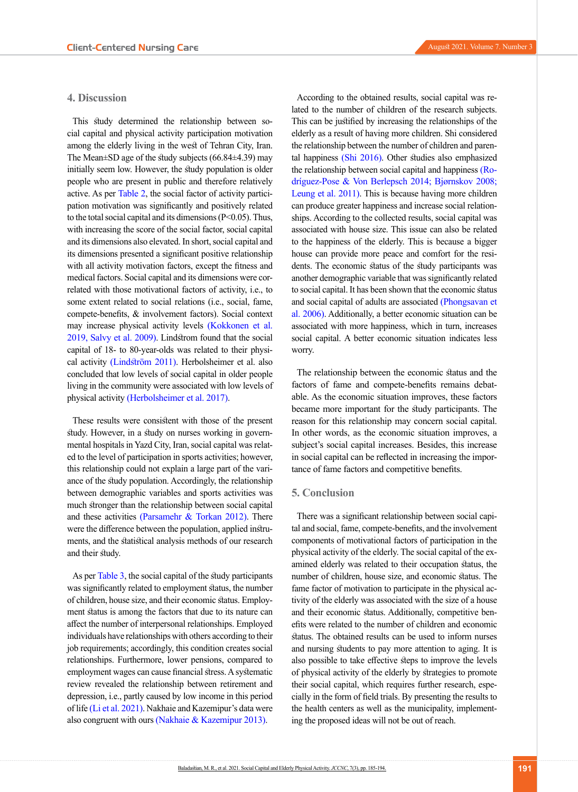## **4. Discussion**

This study determined the relationship between social capital and physical activity participation motivation among the elderly living in the west of Tehran City, Iran. The Mean±SD age of the study subjects (66.84±4.39) may initially seem low. However, the study population is older people who are present in public and therefore relatively active. As per Table 2, the social factor of activity participation motivation was significantly and positively related to the total social capital and its dimensions  $(P<0.05)$ . Thus, with increasing the score of the social factor, social capital and its dimensions also elevated. In short, social capital and its dimensions presented a significant positive relationship with all activity motivation factors, except the fitness and medical factors. Social capital and its dimensions were correlated with those motivational factors of activity, i.e., to some extent related to social relations (i.e., social, fame, compete-benefits, & involvement factors). Social context may increase physical activity levels [\(Kokkonen et al.](#page-8-19)  [2019](#page-8-19), [Salvy et al. 2009\).](#page-9-11) Lindstrom found that the social capital of 18- to 80-year-olds was related to their physical activity (Lindström 2011). Herbolsheimer et al. also concluded that low levels of social capital in older people living in the community were associated with low levels of physical activity [\(Herbolsheimer et al. 2017\)](#page-8-20).

These results were consistent with those of the present study. However, in a study on nurses working in governmental hospitals in Yazd City, Iran, social capital was related to the level of participation in sports activities; however, this relationship could not explain a large part of the variance of the study population. Accordingly, the relationship between demographic variables and sports activities was much stronger than the relationship between social capital and these activities (Parsamehr & Torkan 2012). There were the difference between the population, applied instruments, and the statistical analysis methods of our research and their study.

As per Table 3, the social capital of the study participants was significantly related to employment status, the number of children, house size, and their economic status. Employment status is among the factors that due to its nature can affect the number of interpersonal relationships. Employed individuals have relationships with others according to their job requirements; accordingly, this condition creates social relationships. Furthermore, lower pensions, compared to employment wages can cause financial stress. A systematic review revealed the relationship between retirement and depression, i.e., partly caused by low income in this period of life [\(Li et al. 2021\).](#page-8-21) Nakhaie and Kazemipur's data were also congruent with ours [\(Nakhaie & Kazemipur 2013\)](#page-8-22).

According to the obtained results, social capital was related to the number of children of the research subjects. This can be justified by increasing the relationships of the elderly as a result of having more children. Shi considered the relationship between the number of children and parental happiness [\(Shi 2016\).](#page-9-12) Other studies also emphasized the relationship between social capital and happiness (Rodríguez-Pose & Von Berlepsch 2014; Bjørnskov 2008; [Leung et al. 2011\)](#page-8-23). This is because having more children can produce greater happiness and increase social relationships. According to the collected results, social capital was associated with house size. This issue can also be related to the happiness of the elderly. This is because a bigger house can provide more peace and comfort for the residents. The economic status of the study participants was another demographic variable that was significantly related to social capital. It has been shown that the economic status and social capital of adults are associated [\(Phongsavan et](#page-9-13)  [al. 2006\)](#page-9-13). Additionally, a better economic situation can be associated with more happiness, which in turn, increases social capital. A better economic situation indicates less worry.

The relationship between the economic status and the factors of fame and compete-benefits remains debatable. As the economic situation improves, these factors became more important for the study participants. The reason for this relationship may concern social capital. In other words, as the economic situation improves, a subject's social capital increases. Besides, this increase in social capital can be reflected in increasing the importance of fame factors and competitive benefits.

### **5. Conclusion**

There was a significant relationship between social capital and social, fame, compete-benefits, and the involvement components of motivational factors of participation in the physical activity of the elderly. The social capital of the examined elderly was related to their occupation status, the number of children, house size, and economic status. The fame factor of motivation to participate in the physical activity of the elderly was associated with the size of a house and their economic status. Additionally, competitive benefits were related to the number of children and economic status. The obtained results can be used to inform nurses and nursing students to pay more attention to aging. It is also possible to take effective steps to improve the levels of physical activity of the elderly by strategies to promote their social capital, which requires further research, especially in the form of field trials. By presenting the results to the health centers as well as the municipality, implementing the proposed ideas will not be out of reach.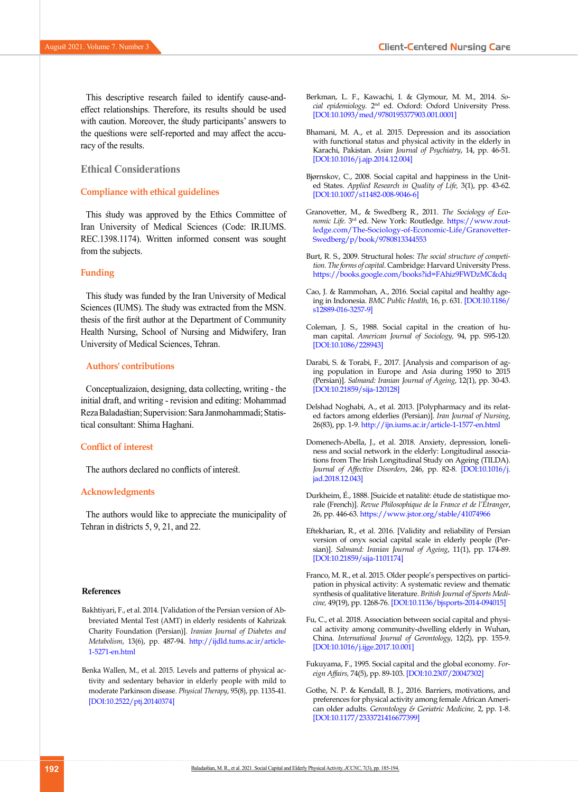This descriptive research failed to identify cause-andeffect relationships. Therefore, its results should be used with caution. Moreover, the study participants' answers to the questions were self-reported and may affect the accuracy of the results.

#### **Ethical Considerations**

#### **Compliance with ethical guidelines**

This study was approved by the Ethics Committee of Iran University of Medical Sciences (Code: IR.IUMS. REC.1398.1174). Written informed consent was sought from the subjects.

#### **Funding**

This study was funded by the Iran University of Medical Sciences (IUMS). The study was extracted from the MSN. thesis of the first author at the Department of Community Health Nursing, School of Nursing and Midwifery, Iran University of Medical Sciences, Tehran.

#### **Authors' contributions**

Conceptualizaion, designing, data collecting, writing - the initial draft, and writing - revision and editing: Mohammad Reza Baladastian; Supervision: Sara Janmohammadi; Statistical consultant: Shima Haghani.

#### **Conflict of interest**

The authors declared no conflicts of interest.

#### **Acknowledgments**

The authors would like to appreciate the municipality of Tehran in districts 5, 9, 21, and 22.

#### **References**

- <span id="page-7-11"></span>Bakhtiyari, F., et al. 2014. [Validation of the Persian version of Abbreviated Mental Test (AMT) in elderly residents of Kahrizak Charity Foundation (Persian)]. *Iranian Journal of Diabetes and Metabolism*, 13(6), pp. 487-94. [http://ijdld.tums.ac.ir/article-](http://ijdld.tums.ac.ir/article-1-5271-en.html)[1-5271-en.html](http://ijdld.tums.ac.ir/article-1-5271-en.html)
- <span id="page-7-9"></span>Benka Wallen, M., et al. 2015. Levels and patterns of physical activity and sedentary behavior in elderly people with mild to moderate Parkinson disease. *Physical Therapy*, 95(8), pp. 1135-41. [\[DOI:10.2522/ptj.20140374\]](https://doi.org/10.2522/ptj.20140374)
- <span id="page-7-6"></span>Berkman, L. F., Kawachi, I. & Glymour, M. M., 2014. *Social epidemiology.* 2nd ed. Oxford: Oxford University Press. [[DOI:10.1093/med/9780195377903.001.0001](https://doi.org/10.1093/med/9780195377903.001.0001)]
- <span id="page-7-8"></span>Bhamani, M. A., et al. 2015. Depression and its association with functional status and physical activity in the elderly in Karachi, Pakistan. *Asian Journal of Psychiatry*, 14, pp. 46-51. [[DOI:10.1016/j.ajp.2014.12.004\]](https://doi.org/10.1016/j.ajp.2014.12.004)
- Bjørnskov, C., 2008. Social capital and happiness in the United States. *Applied Research in Quality of Life,* 3(1), pp. 43-62. [[DOI:10.1007/s11482-008-9046-6\]](https://doi.org/10.1007/s11482-008-9046-6)
- <span id="page-7-4"></span>Granovetter, M., & Swedberg R., 2011. *The Sociology of Economic Life.* 3rd ed. New York: Routledge. [https://www.rout](https://www.routledge.com/The-Sociology-of-Economic-Life/Granovetter-Swedberg/p/book/9780813344553)[ledge.com/The-Sociology-of-Economic-Life/Granovetter-](https://www.routledge.com/The-Sociology-of-Economic-Life/Granovetter-Swedberg/p/book/9780813344553)[Swedberg/p/book/9780813344553](https://www.routledge.com/The-Sociology-of-Economic-Life/Granovetter-Swedberg/p/book/9780813344553)
- Burt, R. S., 2009. Structural holes: *The social structure of competition. The forms of capital.* Cambridge: Harvard University Press. <https://books.google.com/books?id=FAhiz9FWDzMC&dq>
- <span id="page-7-7"></span>Cao, J. & Rammohan, A., 2016. Social capital and healthy ageing in Indonesia. *BMC Public Health,* 16, p. 631. [\[DOI:10.1186/](https://doi.org/10.1186/s12889-016-3257-9) [s12889-016-3257-9\]](https://doi.org/10.1186/s12889-016-3257-9)
- <span id="page-7-5"></span>Coleman, J. S., 1988. Social capital in the creation of human capital. *American Journal of Sociology,* 94, pp. S95-120. [[DOI:10.1086/228943\]](https://doi.org/10.1086/228943)
- Darabi, S. & Torabi, F., 2017. [Analysis and comparison of aging population in Europe and Asia during 1950 to 2015 (Persian)]. *Salmand: Iranian Journal of Ageing*, 12(1), pp. 30-43. [[DOI:10.21859/sija-120128](https://doi.org/10.21859/sija-120128)]
- <span id="page-7-0"></span>Delshad Noghabi, A., et al. 2013. [Polypharmacy and its related factors among elderlies (Persian)]. *Iran Journal of Nursing*, 26(83), pp. 1-9.<http://ijn.iums.ac.ir/article-1-1577-en.html>
- <span id="page-7-1"></span>Domenech-Abella, J., et al. 2018. Anxiety, depression, loneliness and social network in the elderly: Longitudinal associations from The Irish Longitudinal Study on Ageing (TILDA). *Journal of Affective Disorders*, 246, pp. 82-8. [[DOI:10.1016/j.](https://doi.org/10.1016/j.jad.2018.12.043) [jad.2018.12.043\]](https://doi.org/10.1016/j.jad.2018.12.043)
- Durkheim, É., 1888. [Suicide et natalité: étude de statistique morale (French)]. *Revue Philosophique de la France et de l'Étranger*, 26, pp. 446-63.<https://www.jstor.org/stable/41074966>
- <span id="page-7-2"></span>Eftekharian, R., et al. 2016. [Validity and reliability of Persian version of onyx social capital scale in elderly people (Persian)]. *Salmand: Iranian Journal of Ageing*, 11(1), pp. 174-89. [[DOI:10.21859/sija-1101174](https://doi.org/10.21859/sija-1101174)]
- Franco, M. R., et al. 2015. Older people's perspectives on participation in physical activity: A systematic review and thematic synthesis of qualitative literature. *British Journal of Sports Medicine,* 49(19), pp. 1268-76. [\[DOI:10.1136/bjsports-2014-094015](https://doi.org/10.1136/bjsports-2014-094015)]
- <span id="page-7-10"></span>Fu, C., et al. 2018. Association between social capital and physical activity among community-dwelling elderly in Wuhan, China. *International Journal of Gerontology*, 12(2), pp. 155-9. [[DOI:10.1016/j.ijge.2017.10.001](https://doi.org/10.1016/j.ijge.2017.10.001)]
- <span id="page-7-3"></span>Fukuyama, F., 1995. Social capital and the global economy. *Foreign Affairs,* 74(5), pp. 89-103. [\[DOI:10.2307/20047302\]](https://doi.org/10.2307/20047302)
- Gothe, N. P. & Kendall, B. J., 2016. Barriers, motivations, and preferences for physical activity among female African American older adults. *Gerontology & Geriatric Medicine,* 2, pp. 1-8. [[DOI:10.1177/2333721416677399](https://doi.org/10.1177/2333721416677399)]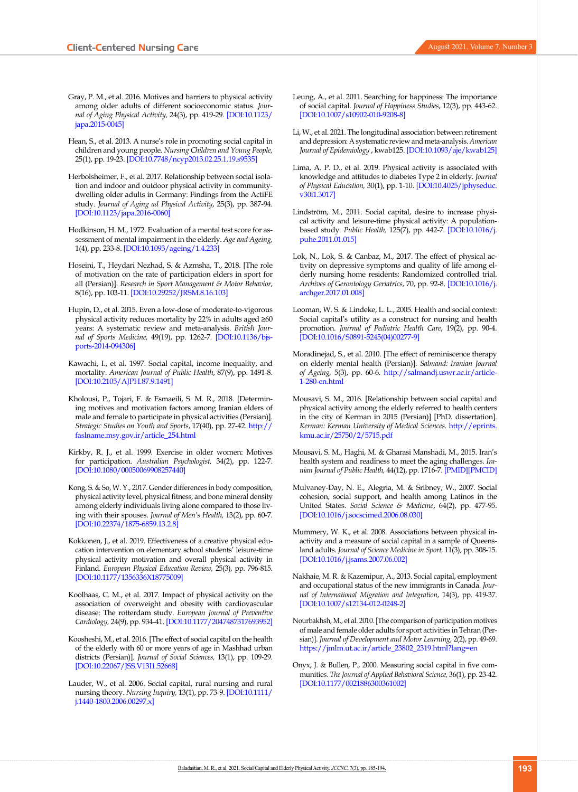- <span id="page-8-12"></span>Gray, P. M., et al. 2016. Motives and barriers to physical activity among older adults of different socioeconomic status. *Journal of Aging Physical Activity,* 24(3), pp. 419-29. [[DOI:10.1123/](https://doi.org/10.1123/japa.2015-0045) [japa.2015-0045](https://doi.org/10.1123/japa.2015-0045)]
- Hean, S., et al. 2013. A nurse's role in promoting social capital in children and young people. *Nursing Children and Young People,* 25(1), pp. 19-23. [\[DOI:10.7748/ncyp2013.02.25.1.19.s9535\]](https://doi.org/10.7748/ncyp2013.02.25.1.19.s9535)
- <span id="page-8-20"></span>Herbolsheimer, F., et al. 2017. Relationship between social isolation and indoor and outdoor physical activity in communitydwelling older adults in Germany: Findings from the ActiFE study. *Journal of Aging ad Physical Activity*, 25(3), pp. 387-94. [\[DOI:10.1123/japa.2016-0060](https://doi.org/10.1123/japa.2016-0060)]
- <span id="page-8-15"></span>Hodkinson, H. M., 1972. Evaluation of a mental test score for assessment of mental impairment in the elderly. *Age and Ageing,*  1(4), pp. 233-8. [[DOI:10.1093/ageing/1.4.233](https://doi.org/10.1093/ageing/1.4.233)]
- <span id="page-8-6"></span>Hoseini, T., Heydari Nezhad, S. & Azmsha, T., 2018. [The role of motivation on the rate of participation elders in sport for all (Persian)]. *Research in Sport Management & Motor Behavior*, 8(16), pp. 103-11. [\[DOI:10.29252/JRSM.8.16.103](https://doi.org/10.29252/JRSM.8.16.103)]
- <span id="page-8-11"></span>Hupin, D., et al. 2015. Even a low-dose of moderate-to-vigorous physical activity reduces mortality by 22% in adults aged ≥60 years: A systematic review and meta-analysis. *British Journal of Sports Medicine,* 49(19), pp. 1262-7. [[DOI:10.1136/bjs](https://doi.org/10.1136/bjsports-2014-094306)[ports-2014-094306](https://doi.org/10.1136/bjsports-2014-094306)]
- <span id="page-8-3"></span>Kawachi, I., et al. 1997. Social capital, income inequality, and mortality. *American Journal of Public Health*, 87(9), pp. 1491-8. [\[DOI:10.2105/AJPH.87.9.1491](https://doi.org/10.2105/AJPH.87.9.1491)]
- <span id="page-8-18"></span>Kholousi, P., Tojari, F. & Esmaeili, S. M. R., 2018. [Determining motives and motivation factors among Iranian elders of male and female to participate in physical activities (Persian)]. *Strategic Studies on Youth and Sports*, 17(40), pp. 27-42. [http://](http://faslname.msy.gov.ir/article_254.html) [faslname.msy.gov.ir/article\\_254.html](http://faslname.msy.gov.ir/article_254.html)
- <span id="page-8-16"></span>Kirkby, R. J., et al. 1999. Exercise in older women: Motives for participation. *Australian Psychologist,* 34(2), pp. 122-7. [\[DOI:10.1080/00050069908257440](https://doi.org/10.1080/00050069908257440)]
- <span id="page-8-10"></span>Kong, S. & So, W. Y., 2017. Gender differences in body composition, physical activity level, physical fitness, and bone mineral density among elderly individuals living alone compared to those living with their spouses. *Journal of Men's Health,* 13(2), pp. 60-7. [\[DOI:10.22374/1875-6859.13.2.8\]](https://jomh.org/articles/10.22374/1875-6859.13.2.8)
- <span id="page-8-19"></span>Kokkonen, J., et al. 2019. Effectiveness of a creative physical education intervention on elementary school students' leisure-time physical activity motivation and overall physical activity in Finland. *European Physical Education Review,* 25(3), pp. 796-815. [\[DOI:10.1177/1356336X18775009\]](https://doi.org/10.1177/1356336X18775009)
- <span id="page-8-8"></span>Koolhaas, C. M., et al. 2017. Impact of physical activity on the association of overweight and obesity with cardiovascular disease: The rotterdam study. *European Journal of Preventive Cardiology,* 24(9), pp. 934-41. [[DOI:10.1177/2047487317693952](https://doi.org/10.1177/2047487317693952)]
- <span id="page-8-4"></span>Koosheshi, M., et al. 2016. [The effect of social capital on the health of the elderly with 60 or more years of age in Mashhad urban districts (Persian)]. *Journal of Social Sciences,* 13(1), pp. 109-29. [\[DOI:10.22067/JSS.V13I1.52668\]](https://dx.doi.org/10.22067/jss.v13i1.52668)
- <span id="page-8-5"></span>Lauder, W., et al. 2006. Social capital, rural nursing and rural nursing theory. *Nursing Inquiry,* 13(1), pp. 73-9. [[DOI:10.1111/](https://doi.org/10.1111/j.1440-1800.2006.00297.x) [j.1440-1800.2006.00297.x](https://doi.org/10.1111/j.1440-1800.2006.00297.x)]
- <span id="page-8-23"></span>Leung, A., et al. 2011. Searching for happiness: The importance of social capital. *Journal of Happiness Studies*, 12(3), pp. 443-62. [[DOI:10.1007/s10902-010-9208-8](https://doi.org/10.1007/s10902-010-9208-8)]
- <span id="page-8-21"></span>Li, W., et al. 2021. The longitudinal association between retirement and depression: A systematic review and meta-analysis. *American Journal of Epidemiology* , kwab125. [\[DOI:10.1093/aje/kwab125\]](https://doi.org/10.1093/aje/kwab125)
- <span id="page-8-9"></span>Lima, A. P. D., et al. 2019. Physical activity is associated with knowledge and attitudes to diabetes Type 2 in elderly. *Journal of Physical Education,* 30(1), pp. 1-10. [[DOI:10.4025/jphyseduc.](https://doi.org/10.4025/jphyseduc.v30i1.3017) [v30i1.3017](https://doi.org/10.4025/jphyseduc.v30i1.3017)]
- Lindström, M., 2011. Social capital, desire to increase physical activity and leisure-time physical activity: A populationbased study. *Public Health,* 125(7), pp. 442-7. [[DOI:10.1016/j.](https://doi.org/10.1016/j.puhe.2011.01.015) [puhe.2011.01.015\]](https://doi.org/10.1016/j.puhe.2011.01.015)
- <span id="page-8-7"></span>Lok, N., Lok, S. & Canbaz, M., 2017. The effect of physical activity on depressive symptoms and quality of life among elderly nursing home residents: Randomized controlled trial. *Archives of Gerontology Geriatrics*, 70, pp. 92-8. [[DOI:10.1016/j.](https://doi.org/10.1016/j.archger.2017.01.008) [archger.2017.01.008\]](https://doi.org/10.1016/j.archger.2017.01.008)
- Looman, W. S. & Lindeke, L. L., 2005. Health and social context: Social capital's utility as a construct for nursing and health promotion. *Journal of Pediatric Health Care*, 19(2), pp. 90-4. [[DOI:10.1016/S0891-5245\(04\)00277-9](https://doi.org/10.1016/S0891-5245(04)00277-9)]
- <span id="page-8-0"></span>Moradinejad, S., et al. 2010. [The effect of reminiscence therapy on elderly mental health (Persian)]. *Salmand: Iranian Journal of Ageing,* 5(3), pp. 60-6. [http://salmandj.uswr.ac.ir/article-](http://salmandj.uswr.ac.ir/article-1-280-en.html)[1-280-en.html](http://salmandj.uswr.ac.ir/article-1-280-en.html)
- <span id="page-8-14"></span>Mousavi, S. M., 2016. [Relationship between social capital and physical activity among the elderly referred to health centers in the city of Kerman in 2015 (Persian)] [PhD. dissertation]. *Kerman: Kerman University of Medical Sciences*. [http://eprints.](http://eprints.kmu.ac.ir/25750/2/5715.pdf) [kmu.ac.ir/25750/2/5715.pdf](http://eprints.kmu.ac.ir/25750/2/5715.pdf)
- Mousavi, S. M., Haghi, M. & Gharasi Manshadi, M., 2015. Iran's health system and readiness to meet the aging challenges. *Iranian Journal of Public Health,* 44(12), pp. 1716-7. [\[PMID](https://pubmed.ncbi.nlm.nih.gov/26811829/)][\[PMCID\]](http://www.ncbi.nlm.nih.gov/pmc/articles/pmc4724751/)
- <span id="page-8-2"></span>Mulvaney-Day, N. E., Alegria, M. & Sribney, W., 2007. Social cohesion, social support, and health among Latinos in the United States. *Social Science & Medicine*, 64(2), pp. 477-95. [[DOI:10.1016/j.socscimed.2006.08.030](https://doi.org/10.1016/j.socscimed.2006.08.030)]
- <span id="page-8-13"></span>Mummery, W. K., et al. 2008. Associations between physical inactivity and a measure of social capital in a sample of Queensland adults. *Journal of Science Medicine in Sport,* 11(3), pp. 308-15. [[DOI:10.1016/j.jsams.2007.06.002](https://doi.org/10.1016/j.jsams.2007.06.002)]
- <span id="page-8-22"></span>Nakhaie, M. R. & Kazemipur, A., 2013. Social capital, employment and occupational status of the new immigrants in Canada. *Journal of International Migration and Integration*, 14(3), pp. 419-37. [[DOI:10.1007/s12134-012-0248-2](https://doi.org/10.1007/s12134-012-0248-2)]
- <span id="page-8-17"></span>Nourbakhsh, M., et al. 2010. [The comparison of participation motives of male and female older adults for sport activities in Tehran (Persian)]. *Journal of Development and Motor Learning,* 2(2), pp. 49-69. [https://jmlm.ut.ac.ir/article\\_23802\\_2319.html?lang=en](https://jmlm.ut.ac.ir/article_23802_2319.html?lang=en)
- <span id="page-8-1"></span>Onyx, J. & Bullen, P., 2000. Measuring social capital in five communities. *The Journal of Applied Behavioral Science,* 36(1), pp. 23-42. [[DOI:10.1177/0021886300361002](https://doi.org/10.1177/0021886300361002)]